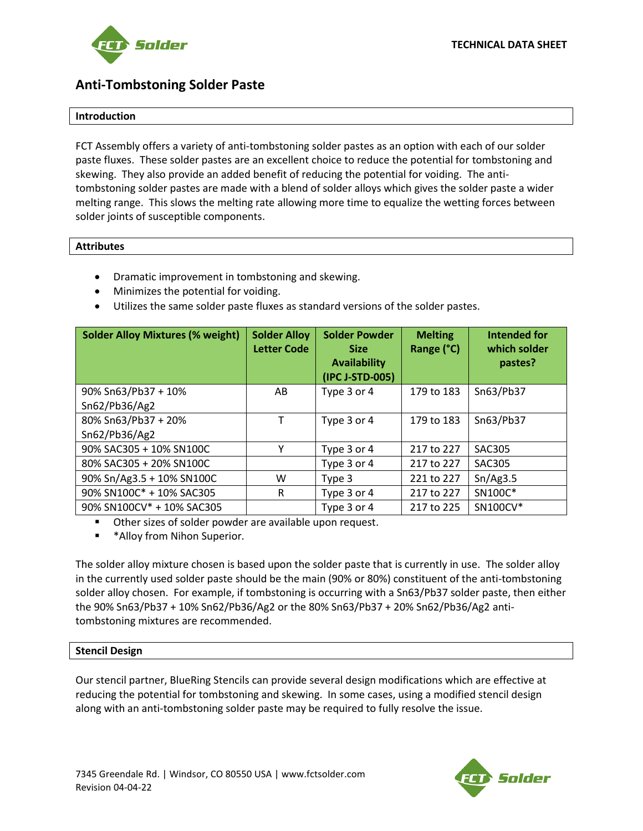

# **Anti-Tombstoning Solder Paste**

# **Introduction**

FCT Assembly offers a variety of anti-tombstoning solder pastes as an option with each of our solder paste fluxes. These solder pastes are an excellent choice to reduce the potential for tombstoning and skewing. They also provide an added benefit of reducing the potential for voiding. The antitombstoning solder pastes are made with a blend of solder alloys which gives the solder paste a wider melting range. This slows the melting rate allowing more time to equalize the wetting forces between solder joints of susceptible components.

## **Attributes**

- Dramatic improvement in tombstoning and skewing.
- Minimizes the potential for voiding.
- Utilizes the same solder paste fluxes as standard versions of the solder pastes.

| <b>Solder Alloy Mixtures (% weight)</b> | <b>Solder Alloy</b><br><b>Letter Code</b> | <b>Solder Powder</b><br><b>Size</b><br><b>Availability</b><br>(IPC J-STD-005) | <b>Melting</b><br>Range (°C) | <b>Intended for</b><br>which solder<br>pastes? |
|-----------------------------------------|-------------------------------------------|-------------------------------------------------------------------------------|------------------------------|------------------------------------------------|
| 90% Sn63/Pb37 + 10%<br>Sn62/Pb36/Ag2    | AB                                        | Type 3 or 4                                                                   | 179 to 183                   | Sn63/Pb37                                      |
| 80% Sn63/Pb37 + 20%<br>Sn62/Pb36/Ag2    | Т                                         | Type 3 or 4                                                                   | 179 to 183                   | Sn63/Pb37                                      |
| 90% SAC305 + 10% SN100C                 | Υ                                         | Type 3 or 4                                                                   | 217 to 227                   | <b>SAC305</b>                                  |
| 80% SAC305 + 20% SN100C                 |                                           | Type 3 or 4                                                                   | 217 to 227                   | <b>SAC305</b>                                  |
| 90% Sn/Ag3.5 + 10% SN100C               | W                                         | Type 3                                                                        | 221 to 227                   | Sn/Ag3.5                                       |
| 90% SN100C* + 10% SAC305                | R                                         | Type 3 or 4                                                                   | 217 to 227                   | SN100C*                                        |
| 90% SN100CV* + 10% SAC305               |                                           | Type 3 or 4                                                                   | 217 to 225                   | SN100CV*                                       |

- Other sizes of solder powder are available upon request.
- \*Alloy from Nihon Superior.

The solder alloy mixture chosen is based upon the solder paste that is currently in use. The solder alloy in the currently used solder paste should be the main (90% or 80%) constituent of the anti-tombstoning solder alloy chosen. For example, if tombstoning is occurring with a Sn63/Pb37 solder paste, then either the 90% Sn63/Pb37 + 10% Sn62/Pb36/Ag2 or the 80% Sn63/Pb37 + 20% Sn62/Pb36/Ag2 antitombstoning mixtures are recommended.

## **Stencil Design**

Our stencil partner, BlueRing Stencils can provide several design modifications which are effective at reducing the potential for tombstoning and skewing. In some cases, using a modified stencil design along with an anti-tombstoning solder paste may be required to fully resolve the issue.